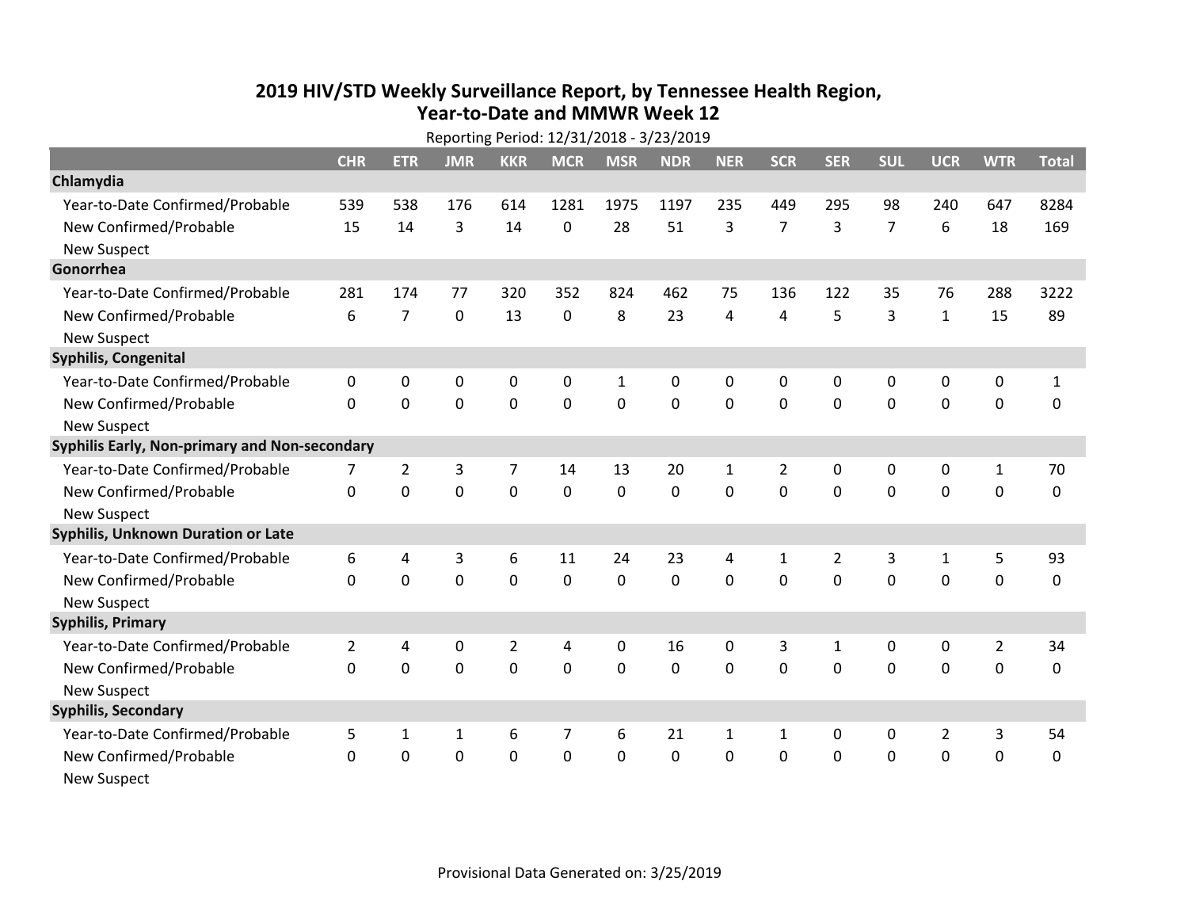## **2019 HIV /STD Weekly Surveillance Report, by Tennessee Health Region, Year‐to‐Date and MMWR Week 12**Reporting Period: 12/31/2018 ‐ 3/23/2019

| Reporting Period: 12/31/2018 - 3/23/2019      |                |                |                |                |                |              |            |              |                |                |                |                |                  |              |
|-----------------------------------------------|----------------|----------------|----------------|----------------|----------------|--------------|------------|--------------|----------------|----------------|----------------|----------------|------------------|--------------|
|                                               | <b>CHR</b>     | <b>ETR</b>     | <b>JMR</b>     | <b>KKR</b>     | <b>MCR</b>     | <b>MSR</b>   | <b>NDR</b> | <b>NER</b>   | <b>SCR</b>     | <b>SER</b>     | <b>SUL</b>     | <b>UCR</b>     | <b>WTR</b>       | <b>Total</b> |
| Chlamydia                                     |                |                |                |                |                |              |            |              |                |                |                |                |                  |              |
| Year-to-Date Confirmed/Probable               | 539            | 538            | 176            | 614            | 1281           | 1975         | 1197       | 235          | 449            | 295            | 98             | 240            | 647              | 8284         |
| New Confirmed/Probable                        | 15             | 14             | 3              | 14             | 0              | 28           | 51         | 3            | $\overline{7}$ | 3              | $\overline{7}$ | 6              | 18               | 169          |
| <b>New Suspect</b>                            |                |                |                |                |                |              |            |              |                |                |                |                |                  |              |
| Gonorrhea                                     |                |                |                |                |                |              |            |              |                |                |                |                |                  |              |
| Year-to-Date Confirmed/Probable               | 281            | 174            | 77             | 320            | 352            | 824          | 462        | 75           | 136            | 122            | 35             | 76             | 288              | 3222         |
| New Confirmed/Probable                        | 6              | $\overline{7}$ | $\mathbf 0$    | 13             | 0              | 8            | 23         | 4            | 4              | 5              | 3              | $\mathbf{1}$   | 15               | 89           |
| <b>New Suspect</b>                            |                |                |                |                |                |              |            |              |                |                |                |                |                  |              |
| Syphilis, Congenital                          |                |                |                |                |                |              |            |              |                |                |                |                |                  |              |
| Year-to-Date Confirmed/Probable               | $\mathbf 0$    | 0              | $\mathbf 0$    | 0              | 0              | $\mathbf{1}$ | 0          | 0            | $\mathbf{0}$   | 0              | $\mathbf 0$    | 0              | $\pmb{0}$        | $\mathbf{1}$ |
| New Confirmed/Probable                        | $\Omega$       | $\mathbf 0$    | $\Omega$       | 0              | $\Omega$       | $\mathbf 0$  | $\Omega$   | $\Omega$     | $\Omega$       | $\mathbf 0$    | $\mathbf 0$    | $\mathbf 0$    | $\mathbf 0$      | $\mathbf 0$  |
| <b>New Suspect</b>                            |                |                |                |                |                |              |            |              |                |                |                |                |                  |              |
| Syphilis Early, Non-primary and Non-secondary |                |                |                |                |                |              |            |              |                |                |                |                |                  |              |
| Year-to-Date Confirmed/Probable               | 7              | $\overline{2}$ | 3              | 7              | 14             | 13           | 20         | $\mathbf{1}$ | 2              | 0              | 0              | 0              | $\mathbf{1}$     | 70           |
| New Confirmed/Probable                        | 0              | $\mathbf 0$    | $\mathbf 0$    | $\mathbf 0$    | $\mathbf 0$    | $\mathbf 0$  | $\Omega$   | $\Omega$     | $\mathbf 0$    | $\mathbf 0$    | $\mathbf 0$    | 0              | $\mathbf 0$      | $\pmb{0}$    |
| <b>New Suspect</b>                            |                |                |                |                |                |              |            |              |                |                |                |                |                  |              |
| <b>Syphilis, Unknown Duration or Late</b>     |                |                |                |                |                |              |            |              |                |                |                |                |                  |              |
| Year-to-Date Confirmed/Probable               | 6              | 4              | 3              | 6              | 11             | 24           | 23         | 4            | $\mathbf{1}$   | $\overline{2}$ | 3              | $\mathbf{1}$   | 5                | 93           |
| New Confirmed/Probable                        | $\Omega$       | $\mathbf 0$    | $\overline{0}$ | $\mathbf 0$    | 0              | $\mathbf 0$  | $\Omega$   | $\Omega$     | $\Omega$       | $\mathbf 0$    | $\mathbf{0}$   | 0              | $\mathbf 0$      | $\mathbf 0$  |
| <b>New Suspect</b>                            |                |                |                |                |                |              |            |              |                |                |                |                |                  |              |
| <b>Syphilis, Primary</b>                      |                |                |                |                |                |              |            |              |                |                |                |                |                  |              |
| Year-to-Date Confirmed/Probable               | $\overline{2}$ | 4              | 0              | $\overline{2}$ | 4              | 0            | 16         | 0            | 3              | $\mathbf{1}$   | 0              | $\mathbf 0$    | $\overline{2}$   | 34           |
| New Confirmed/Probable                        | 0              | $\mathbf 0$    | $\overline{0}$ | $\mathbf 0$    | $\mathbf 0$    | $\mathbf 0$  | 0          | 0            | 0              | $\mathbf 0$    | $\mathbf 0$    | 0              | $\mathbf 0$      | $\mathbf 0$  |
| <b>New Suspect</b>                            |                |                |                |                |                |              |            |              |                |                |                |                |                  |              |
| <b>Syphilis, Secondary</b>                    |                |                |                |                |                |              |            |              |                |                |                |                |                  |              |
| Year-to-Date Confirmed/Probable               | 5              | $\mathbf{1}$   | $\mathbf{1}$   | 6              | $\overline{7}$ | 6            | 21         | $\mathbf{1}$ | $\mathbf{1}$   | 0              | $\mathbf 0$    | $\overline{2}$ | 3                | 54           |
| New Confirmed/Probable                        | 0              | $\mathbf 0$    | $\mathbf 0$    | 0              | 0              | 0            | 0          | 0            | 0              | 0              | $\mathbf 0$    | $\mathbf 0$    | $\boldsymbol{0}$ | $\mathbf 0$  |
| <b>New Suspect</b>                            |                |                |                |                |                |              |            |              |                |                |                |                |                  |              |